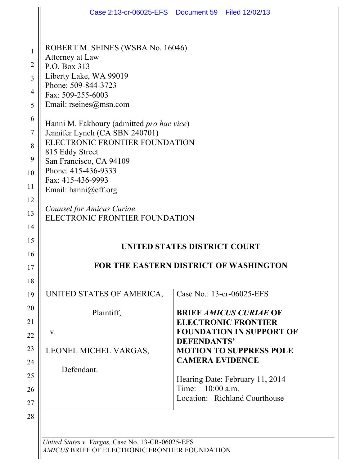|                                                                                           | Case 2:13-cr-06025-EFS  Document 59  Filed 12/02/13                                                                                                                                                                                                                                                                                                                                                                                                                      |                                              |                                                                                                                                                                                                  |
|-------------------------------------------------------------------------------------------|--------------------------------------------------------------------------------------------------------------------------------------------------------------------------------------------------------------------------------------------------------------------------------------------------------------------------------------------------------------------------------------------------------------------------------------------------------------------------|----------------------------------------------|--------------------------------------------------------------------------------------------------------------------------------------------------------------------------------------------------|
| $\mathbf{1}$<br>$\overline{2}$<br>3<br>4<br>5<br>6<br>7<br>8<br>9<br>10<br>11<br>12<br>13 | ROBERT M. SEINES (WSBA No. 16046)<br>Attorney at Law<br>P.O. Box 313<br>Liberty Lake, WA 99019<br>Phone: 509-844-3723<br>Fax: 509-255-6003<br>Email: $rseines@msn.com$<br>Hanni M. Fakhoury (admitted pro hac vice)<br>Jennifer Lynch (CA SBN 240701)<br>ELECTRONIC FRONTIER FOUNDATION<br>815 Eddy Street<br>San Francisco, CA 94109<br>Phone: 415-436-9333<br>Fax: 415-436-9993<br>Email: hanni@eff.org<br>Counsel for Amicus Curiae<br>ELECTRONIC FRONTIER FOUNDATION |                                              |                                                                                                                                                                                                  |
| 14<br>15<br>16<br>17                                                                      | FOR THE EASTERN DISTRICT OF WASHINGTON                                                                                                                                                                                                                                                                                                                                                                                                                                   | UNITED STATES DISTRICT COURT                 |                                                                                                                                                                                                  |
| 18<br>19<br>20<br>21<br>22<br>23<br>24<br>25                                              | UNITED STATES OF AMERICA,<br>Plaintiff,<br>V.<br>LEONEL MICHEL VARGAS,<br>Defendant.                                                                                                                                                                                                                                                                                                                                                                                     | <b>DEFENDANTS'</b><br><b>CAMERA EVIDENCE</b> | Case No.: 13-cr-06025-EFS<br><b>BRIEF AMICUS CURIAE OF</b><br><b>ELECTRONIC FRONTIER</b><br><b>FOUNDATION IN SUPPORT OF</b><br><b>MOTION TO SUPPRESS POLE</b><br>Hearing Date: February 11, 2014 |
| 26<br>27<br>28                                                                            |                                                                                                                                                                                                                                                                                                                                                                                                                                                                          | Time: 10:00 a.m.                             | Location: Richland Courthouse                                                                                                                                                                    |

*United States v. Vargas,* Case No. 13-CR-06025-EFS *AMICUS* BRIEF OF ELECTRONIC FRONTIER FOUNDATION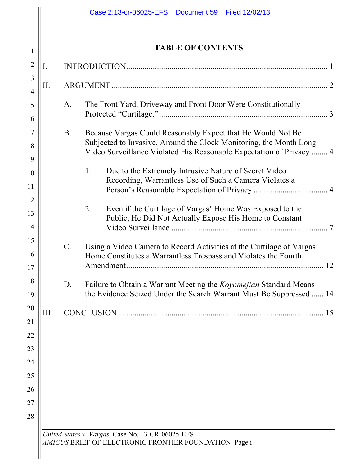|                |      |                 | Case 2:13-cr-06025-EFS  Document 59<br>Filed 12/02/13                                                                                      |  |
|----------------|------|-----------------|--------------------------------------------------------------------------------------------------------------------------------------------|--|
|                |      |                 |                                                                                                                                            |  |
| $\mathbf{1}$   |      |                 | <b>TABLE OF CONTENTS</b>                                                                                                                   |  |
| $\overline{2}$ | I.   |                 |                                                                                                                                            |  |
| 3              |      |                 |                                                                                                                                            |  |
| $\overline{4}$ | П.   |                 |                                                                                                                                            |  |
| 5              |      | A.              | The Front Yard, Driveway and Front Door Were Constitutionally                                                                              |  |
| 6              |      |                 |                                                                                                                                            |  |
| 7              |      | <b>B.</b>       | Because Vargas Could Reasonably Expect that He Would Not Be                                                                                |  |
| 8<br>9         |      |                 | Subjected to Invasive, Around the Clock Monitoring, the Month Long<br>Video Surveillance Violated His Reasonable Expectation of Privacy  4 |  |
| 10             |      |                 | $1_{\cdot}$<br>Due to the Extremely Intrusive Nature of Secret Video                                                                       |  |
| 11             |      |                 | Recording, Warrantless Use of Such a Camera Violates a                                                                                     |  |
| 12             |      |                 |                                                                                                                                            |  |
| 13             |      |                 | $\overline{2}$ .<br>Even if the Curtilage of Vargas' Home Was Exposed to the<br>Public, He Did Not Actually Expose His Home to Constant    |  |
| 14             |      |                 |                                                                                                                                            |  |
| 15             |      | $\mathcal{C}$ . | Using a Video Camera to Record Activities at the Curtilage of Vargas'                                                                      |  |
| 16             |      |                 | Home Constitutes a Warrantless Trespass and Violates the Fourth                                                                            |  |
| 17             |      |                 | 12                                                                                                                                         |  |
| 18             |      | D.              | Failure to Obtain a Warrant Meeting the <i>Koyomejian</i> Standard Means                                                                   |  |
| 19             |      |                 | the Evidence Seized Under the Search Warrant Must Be Suppressed  14                                                                        |  |
| 20<br>21       | III. |                 | 15                                                                                                                                         |  |
| 22             |      |                 |                                                                                                                                            |  |
| 23             |      |                 |                                                                                                                                            |  |
| 24             |      |                 |                                                                                                                                            |  |
| 25             |      |                 |                                                                                                                                            |  |
| 26             |      |                 |                                                                                                                                            |  |
| 27             |      |                 |                                                                                                                                            |  |
| 28             |      |                 |                                                                                                                                            |  |
|                |      |                 | United States v. Vargas, Case No. 13-CR-06025-EFS<br>AMICUS BRIEF OF ELECTRONIC FRONTIER FOUNDATION Page i                                 |  |
|                |      |                 |                                                                                                                                            |  |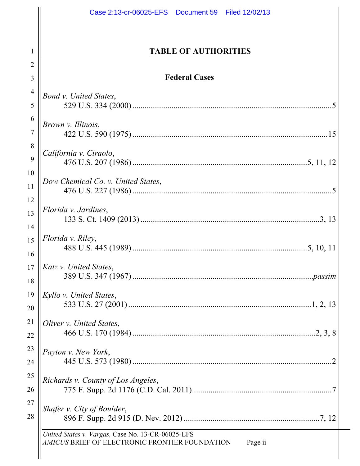|                | Case 2:13-cr-06025-EFS  Document 59  Filed 12/02/13                                                            |
|----------------|----------------------------------------------------------------------------------------------------------------|
| 1              | <b>TABLE OF AUTHORITIES</b>                                                                                    |
| 2              |                                                                                                                |
| 3              | <b>Federal Cases</b>                                                                                           |
| 4              |                                                                                                                |
| 5              | Bond v. United States,                                                                                         |
| 6              |                                                                                                                |
| $\overline{7}$ | Brown v. Illinois,                                                                                             |
| 8              |                                                                                                                |
| 9              | California v. Ciraolo,                                                                                         |
| 10             |                                                                                                                |
| 11             | Dow Chemical Co. v. United States,                                                                             |
| 12             |                                                                                                                |
| 13             | Florida v. Jardines,                                                                                           |
| 14             |                                                                                                                |
| 15             | Florida v. Riley,                                                                                              |
| 16             |                                                                                                                |
| $17 \mid$      | <i>Katz v. United States,</i>                                                                                  |
| 18             |                                                                                                                |
| 19             | Kyllo v. United States,                                                                                        |
| 20             |                                                                                                                |
| 21             | Oliver v. United States,                                                                                       |
| 22             |                                                                                                                |
| 23             | Payton v. New York,                                                                                            |
| 24             |                                                                                                                |
| 25             | Richards v. County of Los Angeles,                                                                             |
| 26             |                                                                                                                |
| 27             | Shafer v. City of Boulder,                                                                                     |
| 28             |                                                                                                                |
|                | United States v. Vargas, Case No. 13-CR-06025-EFS<br>AMICUS BRIEF OF ELECTRONIC FRONTIER FOUNDATION<br>Page ii |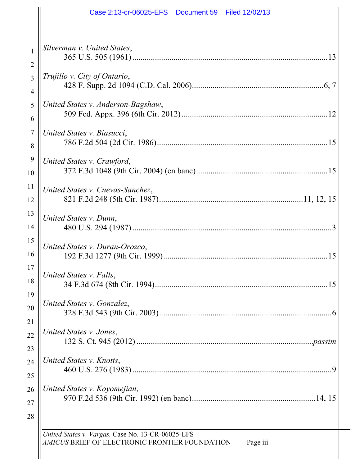| Case 2:13-cr-06025-EFS  Document 59  Filed 12/02/13                                                             |
|-----------------------------------------------------------------------------------------------------------------|
| Silverman v. United States,<br>13                                                                               |
| Trujillo v. City of Ontario,                                                                                    |
| United States v. Anderson-Bagshaw,                                                                              |
| United States v. Biasucci,                                                                                      |
| United States v. Crawford,                                                                                      |
| United States v. Cuevas-Sanchez,                                                                                |
| United States v. Dunn,                                                                                          |
| United States v. Duran-Orozco,                                                                                  |
| United States v. Falls,                                                                                         |
| United States v. Gonzalez,                                                                                      |
| United States v. Jones,                                                                                         |
| United States v. Knotts,                                                                                        |
| United States v. Koyomejian,                                                                                    |
| United States v. Vargas, Case No. 13-CR-06025-EFS<br>AMICUS BRIEF OF ELECTRONIC FRONTIER FOUNDATION<br>Page iii |

 $\mathbf{I}$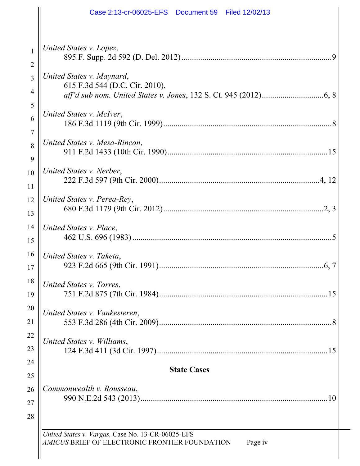|                     | Case 2:13-cr-06025-EFS  Document 59  Filed 12/02/13                                                            |
|---------------------|----------------------------------------------------------------------------------------------------------------|
| $\mathbf{1}$        | United States v. Lopez,                                                                                        |
| $\overline{2}$      |                                                                                                                |
| 3                   | United States v. Maynard,<br>615 F.3d 544 (D.C. Cir. 2010),                                                    |
| 4                   |                                                                                                                |
| 5<br>6              | United States v. McIver,                                                                                       |
| $\overline{7}$<br>8 | United States v. Mesa-Rincon,                                                                                  |
| 9<br>10<br>11       | United States v. Nerber,                                                                                       |
| 12<br>13            | United States v. Perea-Rey,                                                                                    |
| 14<br>15            | United States v. Place,                                                                                        |
| 16<br>17            | United States v. Taketa,                                                                                       |
| 18<br>19            | United States v. Torres,                                                                                       |
| 20<br>21            | United States v. Vankesteren,                                                                                  |
| 22<br>23            | United States v. Williams,<br>15                                                                               |
| 24                  |                                                                                                                |
| 25                  | <b>State Cases</b>                                                                                             |
| 26                  | Commonwealth v. Rousseau,                                                                                      |
| 27<br>28            |                                                                                                                |
|                     | United States v. Vargas, Case No. 13-CR-06025-EFS<br>AMICUS BRIEF OF ELECTRONIC FRONTIER FOUNDATION<br>Page iv |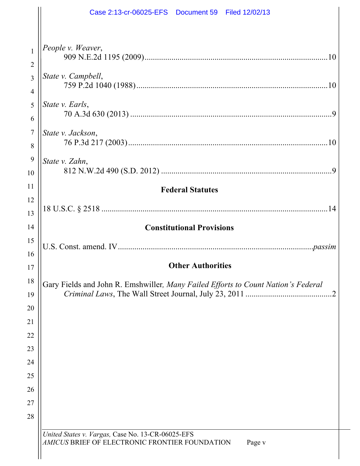|                                                                                          | Case 2:13-cr-06025-EFS  Document 59  Filed 12/02/13                                                           |
|------------------------------------------------------------------------------------------|---------------------------------------------------------------------------------------------------------------|
| $\mathbf{1}$<br>$\overline{2}$<br>3<br>$\overline{4}$<br>5<br>6<br>$\boldsymbol{7}$<br>8 | People v. Weaver,<br>State v. Campbell,<br>State v. Earls,<br>State v. Jackson,                               |
| 9<br>10                                                                                  | State v. Zahn,<br>9                                                                                           |
| 11<br>12<br>13                                                                           | <b>Federal Statutes</b>                                                                                       |
| 14<br>15<br>16                                                                           | <b>Constitutional Provisions</b>                                                                              |
| 17                                                                                       | <b>Other Authorities</b>                                                                                      |
| 18<br>19<br>20<br>21<br>22<br>23<br>24<br>25<br>26<br>27<br>28                           | Gary Fields and John R. Emshwiller, Many Failed Efforts to Count Nation's Federal                             |
|                                                                                          | United States v. Vargas, Case No. 13-CR-06025-EFS<br>AMICUS BRIEF OF ELECTRONIC FRONTIER FOUNDATION<br>Page v |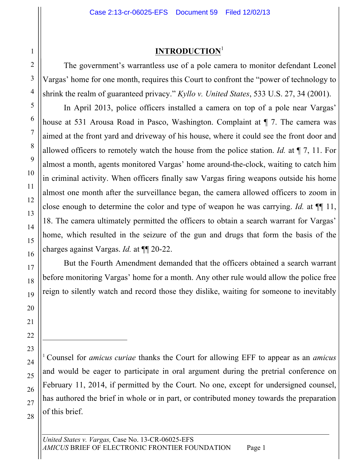## **INTRODUCTION**<sup>1</sup>

The government's warrantless use of a pole camera to monitor defendant Leonel Vargas' home for one month, requires this Court to confront the "power of technology to shrink the realm of guaranteed privacy." *Kyllo v. United States*, 533 U.S. 27, 34 (2001).

In April 2013, police officers installed a camera on top of a pole near Vargas' house at 531 Arousa Road in Pasco, Washington. Complaint at  $\P$  7. The camera was aimed at the front yard and driveway of his house, where it could see the front door and allowed officers to remotely watch the house from the police station. *Id.* at ¶ 7, 11. For almost a month, agents monitored Vargas' home around-the-clock, waiting to catch him in criminal activity. When officers finally saw Vargas firing weapons outside his home almost one month after the surveillance began, the camera allowed officers to zoom in close enough to determine the color and type of weapon he was carrying. *Id.* at ¶¶ 11, 18. The camera ultimately permitted the officers to obtain a search warrant for Vargas' home, which resulted in the seizure of the gun and drugs that form the basis of the charges against Vargas. *Id.* at ¶¶ 20-22.

But the Fourth Amendment demanded that the officers obtained a search warrant before monitoring Vargas' home for a month. Any other rule would allow the police free reign to silently watch and record those they dislike, waiting for someone to inevitably

<sup>1</sup> Counsel for *amicus curiae* thanks the Court for allowing EFF to appear as an *amicus* and would be eager to participate in oral argument during the pretrial conference on February 11, 2014, if permitted by the Court. No one, except for undersigned counsel, has authored the brief in whole or in part, or contributed money towards the preparation of this brief.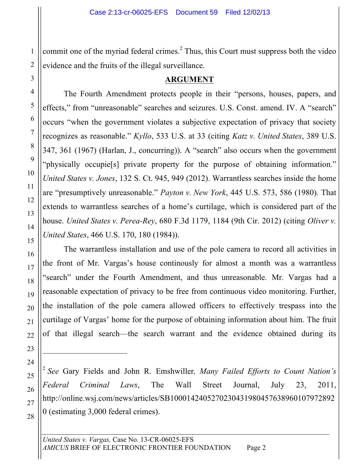commit one of the myriad federal crimes.<sup>2</sup> Thus, this Court must suppress both the video evidence and the fruits of the illegal surveillance.

#### **ARGUMENT**

The Fourth Amendment protects people in their "persons, houses, papers, and effects," from "unreasonable" searches and seizures. U.S. Const. amend. IV. A "search" occurs "when the government violates a subjective expectation of privacy that society recognizes as reasonable." *Kyllo*, 533 U.S. at 33 (citing *Katz v. United States*, 389 U.S. 347, 361 (1967) (Harlan, J., concurring)). A "search" also occurs when the government "physically occupie[s] private property for the purpose of obtaining information." *United States v. Jones*, 132 S. Ct. 945, 949 (2012). Warrantless searches inside the home are "presumptively unreasonable." *Payton v. New York*, 445 U.S. 573, 586 (1980). That extends to warrantless searches of a home's curtilage, which is considered part of the house. *United States v. Perea-Rey*, 680 F.3d 1179, 1184 (9th Cir. 2012) (citing *Oliver v. United States*, 466 U.S. 170, 180 (1984)).

The warrantless installation and use of the pole camera to record all activities in the front of Mr. Vargas's house continously for almost a month was a warrantless "search" under the Fourth Amendment, and thus unreasonable. Mr. Vargas had a reasonable expectation of privacy to be free from continuous video monitoring. Further, the installation of the pole camera allowed officers to effectively trespass into the curtilage of Vargas' home for the purpose of obtaining information about him. The fruit of that illegal search—the search warrant and the evidence obtained during its

<sup>2</sup> *See* Gary Fields and John R. Emshwiller*, Many Failed Efforts to Count Nation's Federal Criminal Laws*, The Wall Street Journal, July 23, 2011, http://online.wsj.com/news/articles/SB1000142405270230431980457638960107972892 0 (estimating 3,000 federal crimes).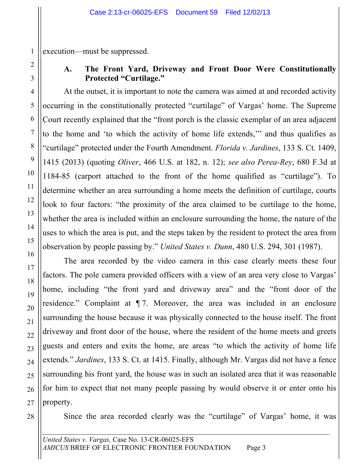execution—must be suppressed.

# **A. The Front Yard, Driveway and Front Door Were Constitutionally Protected "Curtilage."**

At the outset, it is important to note the camera was aimed at and recorded activity occurring in the constitutionally protected "curtilage" of Vargas' home. The Supreme Court recently explained that the "front porch is the classic exemplar of an area adjacent to the home and 'to which the activity of home life extends,'" and thus qualifies as "curtilage" protected under the Fourth Amendment. *Florida v. Jardines*, 133 S. Ct. 1409, 1415 (2013) (quoting *Oliver*, 466 U.S. at 182, n. 12); *see also Perea-Rey*, 680 F.3d at 1184-85 (carport attached to the front of the home qualified as "curtilage"). To determine whether an area surrounding a home meets the definition of curtilage, courts look to four factors: "the proximity of the area claimed to be curtilage to the home, whether the area is included within an enclosure surrounding the home, the nature of the uses to which the area is put, and the steps taken by the resident to protect the area from observation by people passing by." *United States v. Dunn*, 480 U.S. 294, 301 (1987).

The area recorded by the video camera in this case clearly meets these four factors. The pole camera provided officers with a view of an area very close to Vargas' home, including "the front yard and driveway area" and the "front door of the residence." Complaint at ¶ 7. Moreover, the area was included in an enclosure surrounding the house because it was physically connected to the house itself. The front driveway and front door of the house, where the resident of the home meets and greets guests and enters and exits the home, are areas "to which the activity of home life extends." *Jardines*, 133 S. Ct. at 1415. Finally, although Mr. Vargas did not have a fence surrounding his front yard, the house was in such an isolated area that it was reasonable for him to expect that not many people passing by would observe it or enter onto his property.

28

Since the area recorded clearly was the "curtilage" of Vargas' home, it was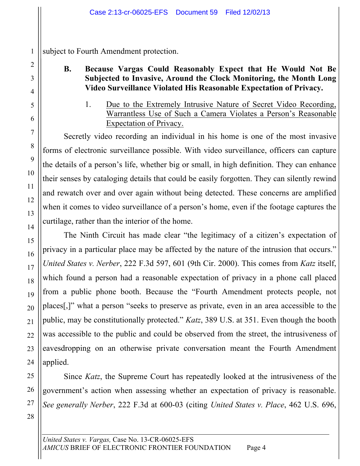subject to Fourth Amendment protection.

# **B. Because Vargas Could Reasonably Expect that He Would Not Be Subjected to Invasive, Around the Clock Monitoring, the Month Long Video Surveillance Violated His Reasonable Expectation of Privacy.**

1. Due to the Extremely Intrusive Nature of Secret Video Recording, Warrantless Use of Such a Camera Violates a Person's Reasonable Expectation of Privacy.

Secretly video recording an individual in his home is one of the most invasive forms of electronic surveillance possible. With video surveillance, officers can capture the details of a person's life, whether big or small, in high definition. They can enhance their senses by cataloging details that could be easily forgotten. They can silently rewind and rewatch over and over again without being detected. These concerns are amplified when it comes to video surveillance of a person's home, even if the footage captures the curtilage, rather than the interior of the home.

The Ninth Circuit has made clear "the legitimacy of a citizen's expectation of privacy in a particular place may be affected by the nature of the intrusion that occurs." *United States v. Nerber*, 222 F.3d 597, 601 (9th Cir. 2000). This comes from *Katz* itself, which found a person had a reasonable expectation of privacy in a phone call placed from a public phone booth. Because the "Fourth Amendment protects people, not places[,]" what a person "seeks to preserve as private, even in an area accessible to the public, may be constitutionally protected." *Katz*, 389 U.S. at 351. Even though the booth was accessible to the public and could be observed from the street, the intrusiveness of eavesdropping on an otherwise private conversation meant the Fourth Amendment applied.

Since *Katz*, the Supreme Court has repeatedly looked at the intrusiveness of the government's action when assessing whether an expectation of privacy is reasonable. *See generally Nerber*, 222 F.3d at 600-03 (citing *United States v. Place*, 462 U.S. 696,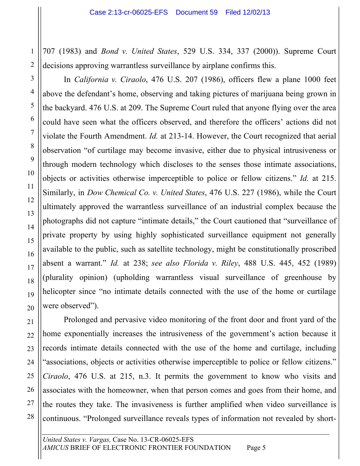707 (1983) and *Bond v. United States*, 529 U.S. 334, 337 (2000)). Supreme Court decisions approving warrantless surveillance by airplane confirms this.

In *California v. Ciraolo*, 476 U.S. 207 (1986), officers flew a plane 1000 feet above the defendant's home, observing and taking pictures of marijuana being grown in the backyard. 476 U.S. at 209. The Supreme Court ruled that anyone flying over the area could have seen what the officers observed, and therefore the officers' actions did not violate the Fourth Amendment. *Id.* at 213-14. However, the Court recognized that aerial observation "of curtilage may become invasive, either due to physical intrusiveness or through modern technology which discloses to the senses those intimate associations, objects or activities otherwise imperceptible to police or fellow citizens." *Id.* at 215. Similarly, in *Dow Chemical Co. v. United States*, 476 U.S. 227 (1986), while the Court ultimately approved the warrantless surveillance of an industrial complex because the photographs did not capture "intimate details," the Court cautioned that "surveillance of private property by using highly sophisticated surveillance equipment not generally available to the public, such as satellite technology, might be constitutionally proscribed absent a warrant." *Id.* at 238; *see also Florida v. Riley*, 488 U.S. 445, 452 (1989) (plurality opinion) (upholding warrantless visual surveillance of greenhouse by helicopter since "no intimate details connected with the use of the home or curtilage were observed").

Prolonged and pervasive video monitoring of the front door and front yard of the home exponentially increases the intrusiveness of the government's action because it records intimate details connected with the use of the home and curtilage, including "associations, objects or activities otherwise imperceptible to police or fellow citizens." *Ciraolo*, 476 U.S. at 215, n.3. It permits the government to know who visits and associates with the homeowner, when that person comes and goes from their home, and the routes they take. The invasiveness is further amplified when video surveillance is continuous. "Prolonged surveillance reveals types of information not revealed by short-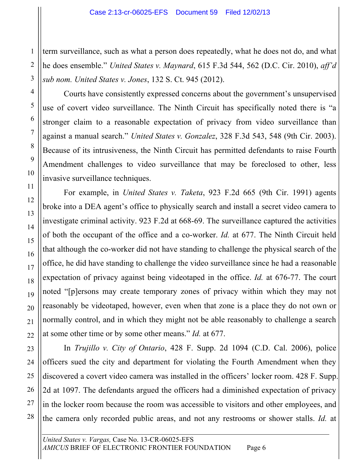term surveillance, such as what a person does repeatedly, what he does not do, and what he does ensemble." *United States v. Maynard*, 615 F.3d 544, 562 (D.C. Cir. 2010), *aff'd sub nom. United States v. Jones*, 132 S. Ct. 945 (2012).

Courts have consistently expressed concerns about the government's unsupervised use of covert video surveillance. The Ninth Circuit has specifically noted there is "a stronger claim to a reasonable expectation of privacy from video surveillance than against a manual search." *United States v. Gonzalez*, 328 F.3d 543, 548 (9th Cir. 2003). Because of its intrusiveness, the Ninth Circuit has permitted defendants to raise Fourth Amendment challenges to video surveillance that may be foreclosed to other, less invasive surveillance techniques.

For example, in *United States v. Taketa*, 923 F.2d 665 (9th Cir. 1991) agents broke into a DEA agent's office to physically search and install a secret video camera to investigate criminal activity. 923 F.2d at 668-69. The surveillance captured the activities of both the occupant of the office and a co-worker. *Id.* at 677. The Ninth Circuit held that although the co-worker did not have standing to challenge the physical search of the office, he did have standing to challenge the video surveillance since he had a reasonable expectation of privacy against being videotaped in the office. *Id.* at 676-77. The court noted "[p]ersons may create temporary zones of privacy within which they may not reasonably be videotaped, however, even when that zone is a place they do not own or normally control, and in which they might not be able reasonably to challenge a search at some other time or by some other means." *Id.* at 677.

In *Trujillo v. City of Ontario*, 428 F. Supp. 2d 1094 (C.D. Cal. 2006), police officers sued the city and department for violating the Fourth Amendment when they discovered a covert video camera was installed in the officers' locker room. 428 F. Supp. 2d at 1097. The defendants argued the officers had a diminished expectation of privacy in the locker room because the room was accessible to visitors and other employees, and the camera only recorded public areas, and not any restrooms or shower stalls. *Id.* at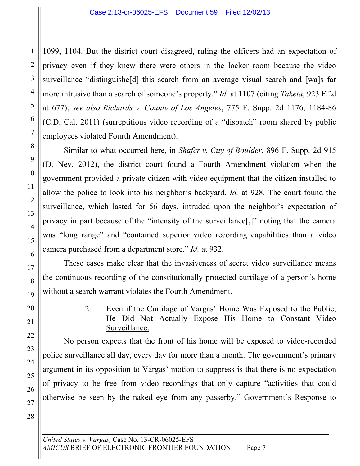1099, 1104. But the district court disagreed, ruling the officers had an expectation of privacy even if they knew there were others in the locker room because the video surveillance "distinguishe[d] this search from an average visual search and [wa]s far more intrusive than a search of someone's property." *Id.* at 1107 (citing *Taketa*, 923 F.2d at 677); *see also Richards v. County of Los Angeles*, 775 F. Supp. 2d 1176, 1184-86 (C.D. Cal. 2011) (surreptitious video recording of a "dispatch" room shared by public employees violated Fourth Amendment).

Similar to what occurred here, in *Shafer v. City of Boulder*, 896 F. Supp. 2d 915 (D. Nev. 2012), the district court found a Fourth Amendment violation when the government provided a private citizen with video equipment that the citizen installed to allow the police to look into his neighbor's backyard. *Id.* at 928. The court found the surveillance, which lasted for 56 days, intruded upon the neighbor's expectation of privacy in part because of the "intensity of the surveillance[,]" noting that the camera was "long range" and "contained superior video recording capabilities than a video camera purchased from a department store." *Id.* at 932.

These cases make clear that the invasiveness of secret video surveillance means the continuous recording of the constitutionally protected curtilage of a person's home without a search warrant violates the Fourth Amendment.

> 2. Even if the Curtilage of Vargas' Home Was Exposed to the Public, He Did Not Actually Expose His Home to Constant Video Surveillance.

No person expects that the front of his home will be exposed to video-recorded police surveillance all day, every day for more than a month. The government's primary argument in its opposition to Vargas' motion to suppress is that there is no expectation of privacy to be free from video recordings that only capture "activities that could otherwise be seen by the naked eye from any passerby." Government's Response to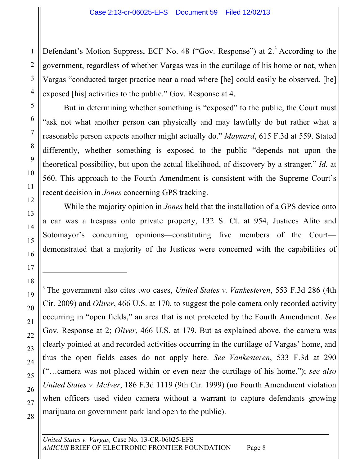Defendant's Motion Suppress, ECF No. 48 ("Gov. Response") at 2.<sup>3</sup> According to the government, regardless of whether Vargas was in the curtilage of his home or not, when Vargas "conducted target practice near a road where [he] could easily be observed, [he] exposed [his] activities to the public." Gov. Response at 4.

But in determining whether something is "exposed" to the public, the Court must "ask not what another person can physically and may lawfully do but rather what a reasonable person expects another might actually do." *Maynard*, 615 F.3d at 559. Stated differently, whether something is exposed to the public "depends not upon the theoretical possibility, but upon the actual likelihood, of discovery by a stranger." *Id.* at 560. This approach to the Fourth Amendment is consistent with the Supreme Court's recent decision in *Jones* concerning GPS tracking.

While the majority opinion in *Jones* held that the installation of a GPS device onto a car was a trespass onto private property, 132 S. Ct. at 954, Justices Alito and Sotomayor's concurring opinions—constituting five members of the Court demonstrated that a majority of the Justices were concerned with the capabilities of

<sup>3</sup> The government also cites two cases, *United States v. Vankesteren*, 553 F.3d 286 (4th Cir. 2009) and *Oliver*, 466 U.S. at 170, to suggest the pole camera only recorded activity occurring in "open fields," an area that is not protected by the Fourth Amendment. *See*  Gov. Response at 2; *Oliver*, 466 U.S. at 179. But as explained above, the camera was clearly pointed at and recorded activities occurring in the curtilage of Vargas' home, and thus the open fields cases do not apply here. *See Vankesteren*, 533 F.3d at 290 ("…camera was not placed within or even near the curtilage of his home."); *see also United States v. McIver*, 186 F.3d 1119 (9th Cir. 1999) (no Fourth Amendment violation when officers used video camera without a warrant to capture defendants growing marijuana on government park land open to the public).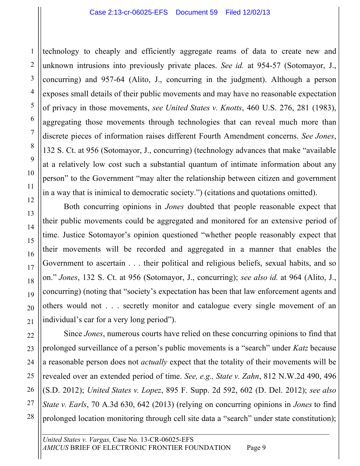technology to cheaply and efficiently aggregate reams of data to create new and unknown intrusions into previously private places. *See id.* at 954-57 (Sotomayor, J., concurring) and 957-64 (Alito, J., concurring in the judgment). Although a person exposes small details of their public movements and may have no reasonable expectation of privacy in those movements, *see United States v. Knotts*, 460 U.S. 276, 281 (1983), aggregating those movements through technologies that can reveal much more than discrete pieces of information raises different Fourth Amendment concerns. *See Jones*, 132 S. Ct. at 956 (Sotomayor, J., concurring) (technology advances that make "available at a relatively low cost such a substantial quantum of intimate information about any person" to the Government "may alter the relationship between citizen and government in a way that is inimical to democratic society.") (citations and quotations omitted).

Both concurring opinions in *Jones* doubted that people reasonable expect that their public movements could be aggregated and monitored for an extensive period of time. Justice Sotomayor's opinion questioned "whether people reasonably expect that their movements will be recorded and aggregated in a manner that enables the Government to ascertain . . . their political and religious beliefs, sexual habits, and so on." *Jones*, 132 S. Ct. at 956 (Sotomayor, J., concurring); *see also id.* at 964 (Alito, J., concurring) (noting that "society's expectation has been that law enforcement agents and others would not . . . secretly monitor and catalogue every single movement of an individual's car for a very long period").

Since *Jones*, numerous courts have relied on these concurring opinions to find that prolonged surveillance of a person's public movements is a "search" under *Katz* because a reasonable person does not *actually* expect that the totality of their movements will be revealed over an extended period of time. *See, e.g., State v. Zahn*, 812 N.W.2d 490, 496 (S.D. 2012); *United States v. Lopez*, 895 F. Supp. 2d 592, 602 (D. Del. 2012); *see also State v. Earls*, 70 A.3d 630, 642 (2013) (relying on concurring opinions in *Jones* to find prolonged location monitoring through cell site data a "search" under state constitution);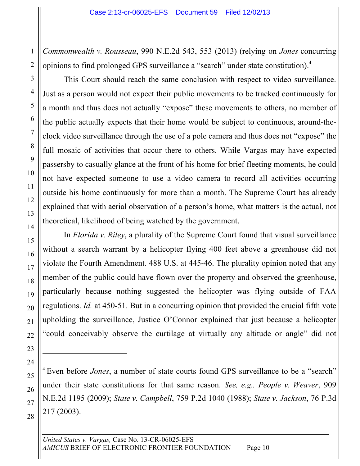*Commonwealth v. Rousseau*, 990 N.E.2d 543, 553 (2013) (relying on *Jones* concurring opinions to find prolonged GPS surveillance a "search" under state constitution).4

This Court should reach the same conclusion with respect to video surveillance. Just as a person would not expect their public movements to be tracked continuously for a month and thus does not actually "expose" these movements to others, no member of the public actually expects that their home would be subject to continuous, around-theclock video surveillance through the use of a pole camera and thus does not "expose" the full mosaic of activities that occur there to others. While Vargas may have expected passersby to casually glance at the front of his home for brief fleeting moments, he could not have expected someone to use a video camera to record all activities occurring outside his home continuously for more than a month. The Supreme Court has already explained that with aerial observation of a person's home, what matters is the actual, not theoretical, likelihood of being watched by the government.

In *Florida v. Riley*, a plurality of the Supreme Court found that visual surveillance without a search warrant by a helicopter flying 400 feet above a greenhouse did not violate the Fourth Amendment. 488 U.S. at 445-46. The plurality opinion noted that any member of the public could have flown over the property and observed the greenhouse, particularly because nothing suggested the helicopter was flying outside of FAA regulations. *Id.* at 450-51. But in a concurring opinion that provided the crucial fifth vote upholding the surveillance, Justice O'Connor explained that just because a helicopter "could conceivably observe the curtilage at virtually any altitude or angle" did not

<sup>4</sup> Even before *Jones*, a number of state courts found GPS surveillance to be a "search" under their state constitutions for that same reason. *See, e.g., People v. Weaver*, 909 N.E.2d 1195 (2009); *State v. Campbell*, 759 P.2d 1040 (1988); *State v. Jackson*, 76 P.3d 217 (2003).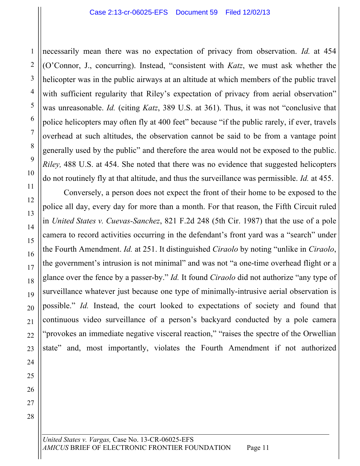necessarily mean there was no expectation of privacy from observation. *Id.* at 454 (O'Connor, J., concurring). Instead, "consistent with *Katz*, we must ask whether the helicopter was in the public airways at an altitude at which members of the public travel with sufficient regularity that Riley's expectation of privacy from aerial observation" was unreasonable. *Id.* (citing *Katz*, 389 U.S. at 361). Thus, it was not "conclusive that police helicopters may often fly at 400 feet" because "if the public rarely, if ever, travels overhead at such altitudes, the observation cannot be said to be from a vantage point generally used by the public" and therefore the area would not be exposed to the public. *Riley*, 488 U.S. at 454. She noted that there was no evidence that suggested helicopters do not routinely fly at that altitude, and thus the surveillance was permissible. *Id.* at 455.

Conversely, a person does not expect the front of their home to be exposed to the police all day, every day for more than a month. For that reason, the Fifth Circuit ruled in *United States v. Cuevas-Sanchez*, 821 F.2d 248 (5th Cir. 1987) that the use of a pole camera to record activities occurring in the defendant's front yard was a "search" under the Fourth Amendment. *Id.* at 251. It distinguished *Ciraolo* by noting "unlike in *Ciraolo*, the government's intrusion is not minimal" and was not "a one-time overhead flight or a glance over the fence by a passer-by." *Id.* It found *Ciraolo* did not authorize "any type of surveillance whatever just because one type of minimally-intrusive aerial observation is possible." *Id.* Instead, the court looked to expectations of society and found that continuous video surveillance of a person's backyard conducted by a pole camera "provokes an immediate negative visceral reaction," "raises the spectre of the Orwellian state" and, most importantly, violates the Fourth Amendment if not authorized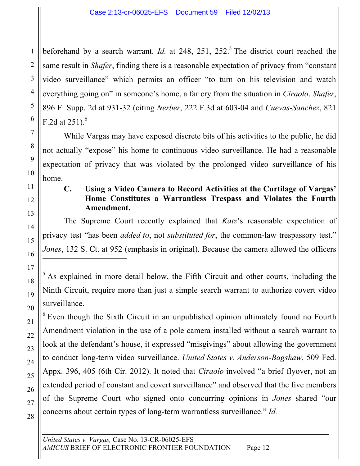beforehand by a search warrant. *Id.* at 248, 251, 252.<sup>5</sup> The district court reached the same result in *Shafer*, finding there is a reasonable expectation of privacy from "constant video surveillance" which permits an officer "to turn on his television and watch everything going on" in someone's home, a far cry from the situation in *Ciraolo*. *Shafer*, 896 F. Supp. 2d at 931-32 (citing *Nerber*, 222 F.3d at 603-04 and *Cuevas-Sanchez*, 821 F.2d at  $251$ ).<sup>6</sup>

While Vargas may have exposed discrete bits of his activities to the public, he did not actually "expose" his home to continuous video surveillance. He had a reasonable expectation of privacy that was violated by the prolonged video surveillance of his home.

1

1

2

## **C. Using a Video Camera to Record Activities at the Curtilage of Vargas' Home Constitutes a Warrantless Trespass and Violates the Fourth Amendment.**

The Supreme Court recently explained that *Katz*'s reasonable expectation of privacy test "has been *added to*, not *substituted for*, the common-law trespassory test." *Jones*, 132 S. Ct. at 952 (emphasis in original). Because the camera allowed the officers

 $<sup>5</sup>$  As explained in more detail below, the Fifth Circuit and other courts, including the</sup> Ninth Circuit, require more than just a simple search warrant to authorize covert video surveillance.

<sup>6</sup> Even though the Sixth Circuit in an unpublished opinion ultimately found no Fourth Amendment violation in the use of a pole camera installed without a search warrant to look at the defendant's house, it expressed "misgivings" about allowing the government to conduct long-term video surveillance. *United States v. Anderson-Bagshaw*, 509 Fed. Appx. 396, 405 (6th Cir. 2012). It noted that *Ciraolo* involved "a brief flyover, not an extended period of constant and covert surveillance" and observed that the five members of the Supreme Court who signed onto concurring opinions in *Jones* shared "our concerns about certain types of long-term warrantless surveillance." *Id.*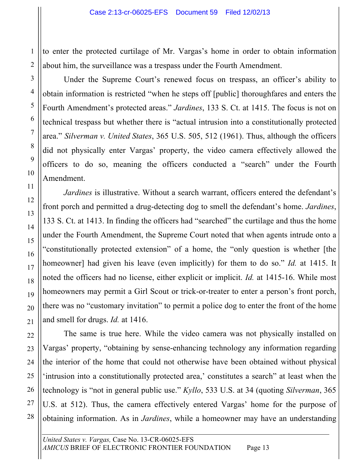to enter the protected curtilage of Mr. Vargas's home in order to obtain information about him, the surveillance was a trespass under the Fourth Amendment.

Under the Supreme Court's renewed focus on trespass, an officer's ability to obtain information is restricted "when he steps off [public] thoroughfares and enters the Fourth Amendment's protected areas." *Jardines*, 133 S. Ct. at 1415. The focus is not on technical trespass but whether there is "actual intrusion into a constitutionally protected area." *Silverman v. United States*, 365 U.S. 505, 512 (1961). Thus, although the officers did not physically enter Vargas' property, the video camera effectively allowed the officers to do so, meaning the officers conducted a "search" under the Fourth Amendment.

*Jardines* is illustrative. Without a search warrant, officers entered the defendant's front porch and permitted a drug-detecting dog to smell the defendant's home. *Jardines*, 133 S. Ct. at 1413. In finding the officers had "searched" the curtilage and thus the home under the Fourth Amendment, the Supreme Court noted that when agents intrude onto a "constitutionally protected extension" of a home, the "only question is whether [the homeowner] had given his leave (even implicitly) for them to do so." *Id.* at 1415. It noted the officers had no license, either explicit or implicit. *Id.* at 1415-16. While most homeowners may permit a Girl Scout or trick-or-treater to enter a person's front porch, there was no "customary invitation" to permit a police dog to enter the front of the home and smell for drugs. *Id.* at 1416.

The same is true here. While the video camera was not physically installed on Vargas' property, "obtaining by sense-enhancing technology any information regarding the interior of the home that could not otherwise have been obtained without physical 'intrusion into a constitutionally protected area,' constitutes a search" at least when the technology is "not in general public use." *Kyllo*, 533 U.S. at 34 (quoting *Silverman*, 365 U.S. at 512). Thus, the camera effectively entered Vargas' home for the purpose of obtaining information. As in *Jardines*, while a homeowner may have an understanding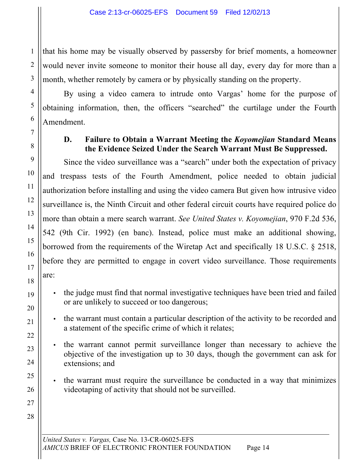that his home may be visually observed by passersby for brief moments, a homeowner would never invite someone to monitor their house all day, every day for more than a month, whether remotely by camera or by physically standing on the property.

By using a video camera to intrude onto Vargas' home for the purpose of obtaining information, then, the officers "searched" the curtilage under the Fourth Amendment.

## **D. Failure to Obtain a Warrant Meeting the** *Koyomejian* **Standard Means the Evidence Seized Under the Search Warrant Must Be Suppressed.**

Since the video surveillance was a "search" under both the expectation of privacy and trespass tests of the Fourth Amendment, police needed to obtain judicial authorization before installing and using the video camera But given how intrusive video surveillance is, the Ninth Circuit and other federal circuit courts have required police do more than obtain a mere search warrant. *See United States v. Koyomejian*, 970 F.2d 536, 542 (9th Cir. 1992) (en banc). Instead, police must make an additional showing, borrowed from the requirements of the Wiretap Act and specifically 18 U.S.C. § 2518, before they are permitted to engage in covert video surveillance. Those requirements are:

- the judge must find that normal investigative techniques have been tried and failed or are unlikely to succeed or too dangerous;
- the warrant must contain a particular description of the activity to be recorded and a statement of the specific crime of which it relates;
- the warrant cannot permit surveillance longer than necessary to achieve the objective of the investigation up to 30 days, though the government can ask for extensions; and
- the warrant must require the surveillance be conducted in a way that minimizes videotaping of activity that should not be surveilled.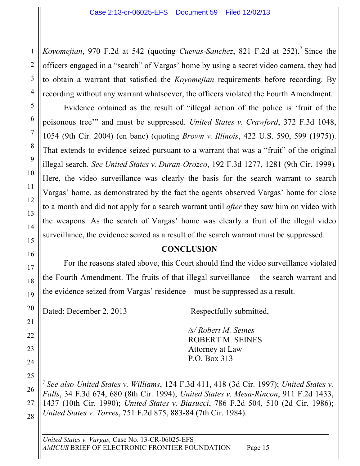*Koyomejian*, 970 F.2d at 542 (quoting *Cuevas-Sanchez*, 821 F.2d at 252).<sup>7</sup> Since the officers engaged in a "search" of Vargas' home by using a secret video camera, they had to obtain a warrant that satisfied the *Koyomejian* requirements before recording. By recording without any warrant whatsoever, the officers violated the Fourth Amendment.

Evidence obtained as the result of "illegal action of the police is 'fruit of the poisonous tree'" and must be suppressed. *United States v. Crawford*, 372 F.3d 1048, 1054 (9th Cir. 2004) (en banc) (quoting *Brown v. Illinois*, 422 U.S. 590, 599 (1975)). That extends to evidence seized pursuant to a warrant that was a "fruit" of the original illegal search. *See United States v. Duran-Orozco*, 192 F.3d 1277, 1281 (9th Cir. 1999)*.* Here, the video surveillance was clearly the basis for the search warrant to search Vargas' home, as demonstrated by the fact the agents observed Vargas' home for close to a month and did not apply for a search warrant until *after* they saw him on video with the weapons. As the search of Vargas' home was clearly a fruit of the illegal video surveillance, the evidence seized as a result of the search warrant must be suppressed.

## **CONCLUSION**

For the reasons stated above, this Court should find the video surveillance violated the Fourth Amendment. The fruits of that illegal surveillance – the search warrant and the evidence seized from Vargas' residence – must be suppressed as a result.

Dated: December 2, 2013 Respectfully submitted,

*/s/ Robert M. Seines* ROBERT M. SEINES Attorney at Law P.O. Box 313

<sup>7</sup> *See also United States v. Williams*, 124 F.3d 411, 418 (3d Cir. 1997); *United States v. Falls*, 34 F.3d 674, 680 (8th Cir. 1994); *United States v. Mesa-Rincon*, 911 F.2d 1433, 1437 (10th Cir. 1990); *United States v. Biasucci*, 786 F.2d 504, 510 (2d Cir. 1986); *United States v. Torres*, 751 F.2d 875, 883-84 (7th Cir. 1984).

*United States v. Vargas,* Case No. 13-CR-06025-EFS *AMICUS* BRIEF OF ELECTRONIC FRONTIER FOUNDATION Page 15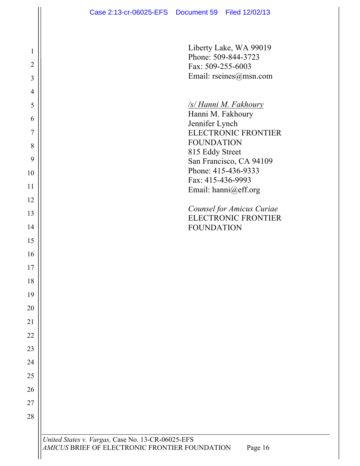1

2

3

4

5

6

7

8

9

10

11

12

13

14

15

16

17

18

19

20

21

22

23

24

25

26

27

28

Liberty Lake, WA 99019 Phone: 509-844-3723 Fax: 509-255-6003 Email: rseines@msn.com

#### */s/ Hanni M. Fakhoury*

Hanni M. Fakhoury Jennifer Lynch ELECTRONIC FRONTIER FOUNDATION 815 Eddy Street San Francisco, CA 94109 Phone: 415-436-9333 Fax: 415-436-9993 Email: hanni@eff.org

*Counsel for Amicus Curiae* ELECTRONIC FRONTIER FOUNDATION